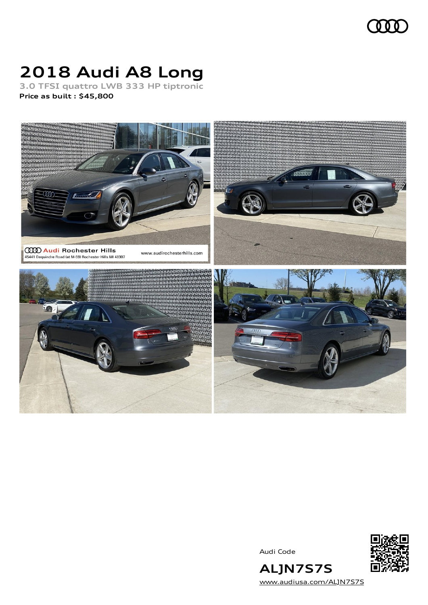## **QQ**

# **2018 Audi A8 Long**

**3.0 TFSI quattro LWB 333 HP tiptronic Price as built [:](#page-8-0) \$45,800**



Audi Code



**ALJN7S7S** [www.audiusa.com/ALJN7S7S](https://www.audiusa.com/ALJN7S7S)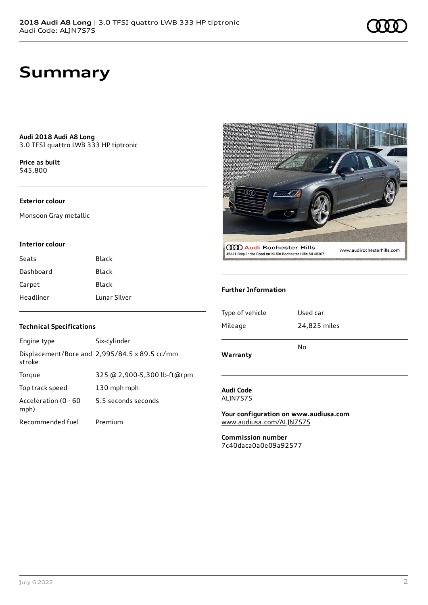## **Summary**

**Audi 2018 Audi A8 Long** 3.0 TFSI quattro LWB 333 HP tiptronic

**Price as buil[t](#page-8-0)** \$45,800

#### **Exterior colour**

Monsoon Gray metallic

#### **Interior colour**

| Seats     | <b>Black</b> |
|-----------|--------------|
| Dashboard | Black        |
| Carpet    | Black        |
| Headliner | Lunar Silver |



| Engine type                  | Six-cylinder                                  |
|------------------------------|-----------------------------------------------|
| stroke                       | Displacement/Bore and 2,995/84.5 x 89.5 cc/mm |
| Torque                       | 325 @ 2,900-5,300 lb-ft@rpm                   |
| Top track speed              | 130 mph mph                                   |
| Acceleration (0 - 60<br>mph) | 5.5 seconds seconds                           |
| Recommended fuel             | Premium                                       |



#### **Further Information**

| Warranty        |              |
|-----------------|--------------|
|                 | No           |
| Mileage         | 24,825 miles |
| Type of vehicle | Used car     |
|                 |              |

#### **Audi Code** ALJN7S7S

**Your configuration on www.audiusa.com** [www.audiusa.com/ALJN7S7S](https://www.audiusa.com/ALJN7S7S)

**Commission number** 7c40daca0a0e09a92577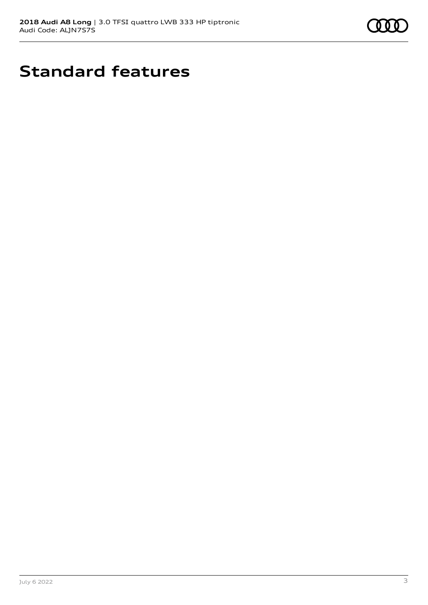

# **Standard features**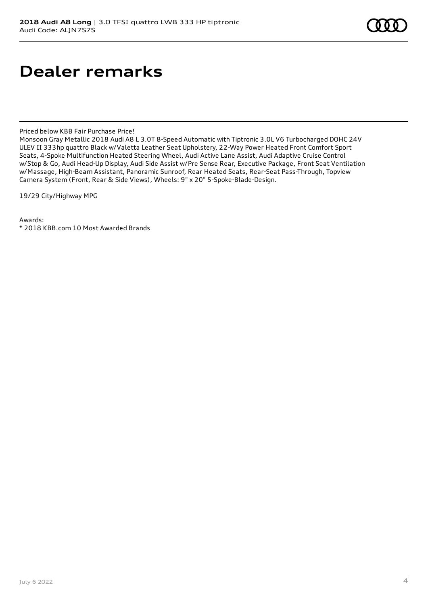## **Dealer remarks**

Priced below KBB Fair Purchase Price!

Monsoon Gray Metallic 2018 Audi A8 L 3.0T 8-Speed Automatic with Tiptronic 3.0L V6 Turbocharged DOHC 24V ULEV II 333hp quattro Black w/Valetta Leather Seat Upholstery, 22-Way Power Heated Front Comfort Sport Seats, 4-Spoke Multifunction Heated Steering Wheel, Audi Active Lane Assist, Audi Adaptive Cruise Control w/Stop & Go, Audi Head-Up Display, Audi Side Assist w/Pre Sense Rear, Executive Package, Front Seat Ventilation w/Massage, High-Beam Assistant, Panoramic Sunroof, Rear Heated Seats, Rear-Seat Pass-Through, Topview Camera System (Front, Rear & Side Views), Wheels: 9" x 20" 5-Spoke-Blade-Design.

19/29 City/Highway MPG

Awards: \* 2018 KBB.com 10 Most Awarded Brands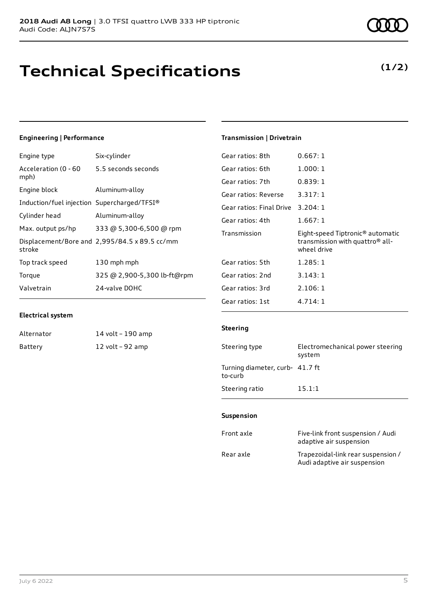# **Technical Specifications**

### **Engineering | Performance**

| Engine type                                 | Six-cylinder                                  |
|---------------------------------------------|-----------------------------------------------|
| Acceleration (0 - 60<br>mph)                | 5.5 seconds seconds                           |
| Engine block                                | Aluminum-alloy                                |
| Induction/fuel injection Supercharged/TFSI® |                                               |
| Cylinder head                               | Aluminum-alloy                                |
| Max. output ps/hp                           | 333 @ 5,300-6,500 @ rpm                       |
| stroke                                      | Displacement/Bore and 2,995/84.5 x 89.5 cc/mm |
| Top track speed                             | 130 mph mph                                   |
| Torque                                      | 325 @ 2,900-5,300 lb-ft@rpm                   |
| Valvetrain                                  | 24-valve DOHC                                 |

#### **Electrical system**

| Alternator | 14 volt – 190 amp |
|------------|-------------------|
| Battery    | 12 volt – 92 amp  |

### **Transmission | Drivetrain**

| Gear ratios: 8th         | 0.667:1                                                                                                    |
|--------------------------|------------------------------------------------------------------------------------------------------------|
| Gear ratios: 6th         | 1.000:1                                                                                                    |
| Gear ratios: 7th         | 0.839:1                                                                                                    |
| Gear ratios: Reverse     | 3.317:1                                                                                                    |
| Gear ratios: Final Drive | 3.204:1                                                                                                    |
| Gear ratios: 4th         | 1.667:1                                                                                                    |
|                          |                                                                                                            |
| Transmission             | Eight-speed Tiptronic <sup>®</sup> automatic<br>transmission with quattro <sup>®</sup> all-<br>wheel drive |
| Gear ratios: 5th         | 1.285:1                                                                                                    |
| Gear ratios: 2nd         | 3.143:1                                                                                                    |
| Gear ratios: 3rd         | 2.106:1                                                                                                    |

#### **Steering**

| Steering type                              | Electromechanical power steering<br>system |
|--------------------------------------------|--------------------------------------------|
| Turning diameter, curb- 41.7 ft<br>to-curb |                                            |
| Steering ratio                             | 15.1:1                                     |

#### **Suspension**

| Front axle | Five-link front suspension / Audi<br>adaptive air suspension       |
|------------|--------------------------------------------------------------------|
| Rear axle  | Trapezoidal-link rear suspension /<br>Audi adaptive air suspension |

### **(1/2)**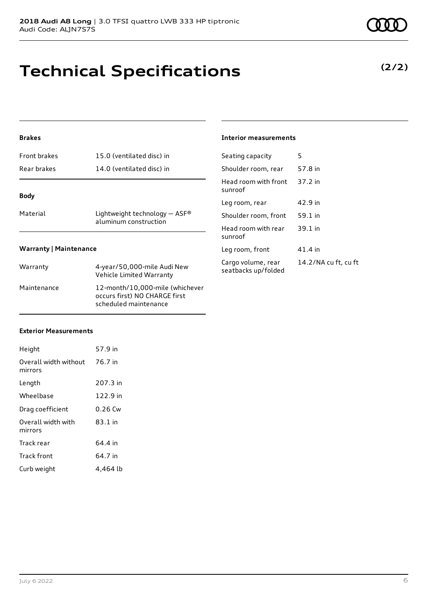# **Technical Specifications**

### **Brakes**

| <b>Front brakes</b>           | 15.0 (ventilated disc) in                                | Seating          |
|-------------------------------|----------------------------------------------------------|------------------|
| Rear brakes                   | 14.0 (ventilated disc) in                                | Should           |
| <b>Body</b>                   |                                                          | Head r<br>sunroo |
|                               |                                                          | Leg roo          |
| Material                      | Lightweight technology $-$ ASF®<br>aluminum construction | Should           |
|                               |                                                          | Head r           |
|                               |                                                          | sunroo           |
| <b>Warranty   Maintenance</b> |                                                          | Leg roo          |
| Warranty                      | 4-year/50,000-mile Audi New                              | Cargo<br>مطعمم   |

| <b>vvaliality</b> | $\tau$ years 50,000 mme Additional<br>Vehicle Limited Warranty                            |
|-------------------|-------------------------------------------------------------------------------------------|
| Maintenance       | 12-month/10.000-mile (whichever<br>occurs first) NO CHARGE first<br>scheduled maintenance |

#### **Interior measurements**

| 14.2/NA cu ft, cu ft |
|----------------------|
|                      |

#### **Exterior Measurements**

| Height                                   | 57.9 in   |
|------------------------------------------|-----------|
| Overall width without 76.7 in<br>mirrors |           |
| Length                                   | 207.3 in  |
| Wheelbase                                | 122.9 in  |
| Drag coefficient                         | $0.26$ Cw |
| Overall width with<br>mirrors            | 83.1 in   |
| Track rear                               | 64.4 in   |
| <b>Track front</b>                       | 64.7 in   |
| Curb weight                              | 4.464 lb  |

**(2/2)**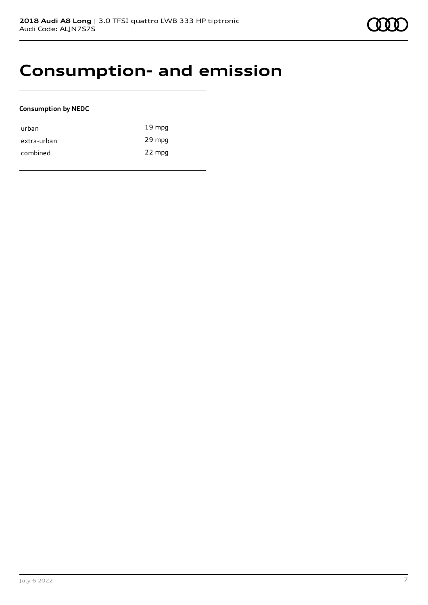### **Consumption- and emission**

#### **Consumption by NEDC**

| urban       | $19 \text{ mpg}$ |
|-------------|------------------|
| extra-urban | 29 mpg           |
| combined    | 22 mpg           |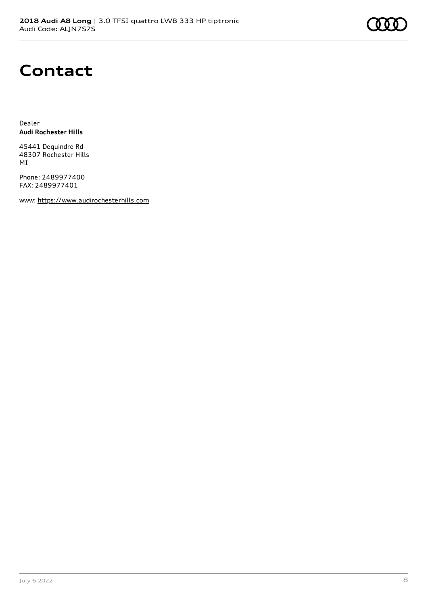# **Contact**

Dealer **Audi Rochester Hills**

45441 Dequindre Rd 48307 Rochester Hills MI

Phone: 2489977400 FAX: 2489977401

www: [https://www.audirochesterhills.com](https://www.audirochesterhills.com/)